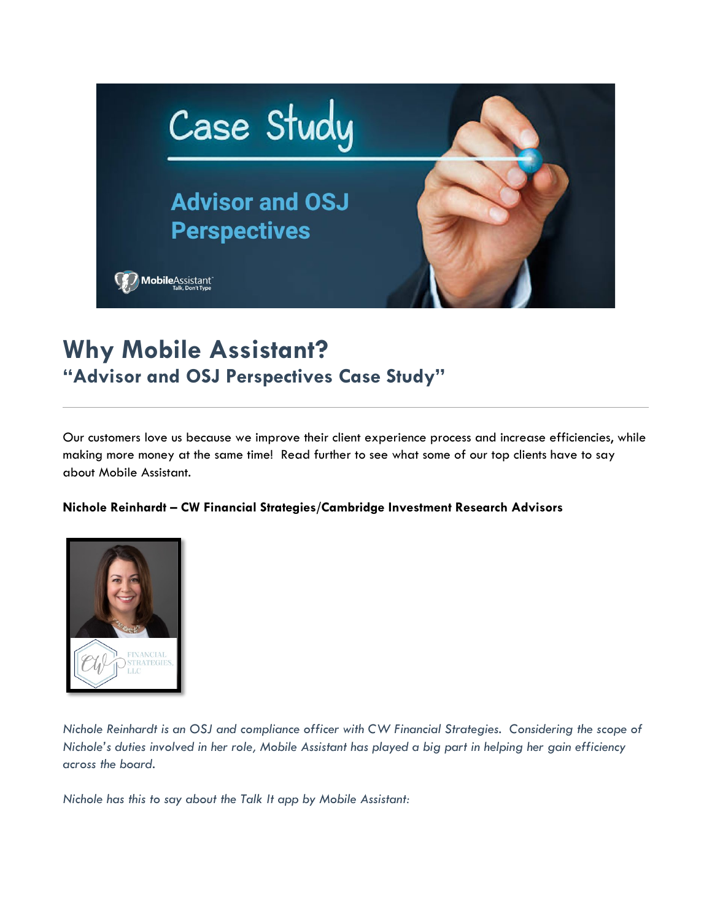

## **Why Mobile Assistant? "Advisor and OSJ Perspectives Case Study"**

Our customers love us because we improve their client experience process and increase efficiencies, while making more money at the same time! Read further to see what some of our top clients have to say about Mobile Assistant.

## **Nichole Reinhardt – CW Financial Strategies/Cambridge Investment Research Advisors**



*Nichole Reinhardt is an OSJ and compliance officer with CW Financial Strategies. Considering the scope of Nichole's duties involved in her role, Mobile Assistant has played a big part in helping her gain efficiency across the board.* 

*Nichole has this to say about the Talk It app by Mobile Assistant:*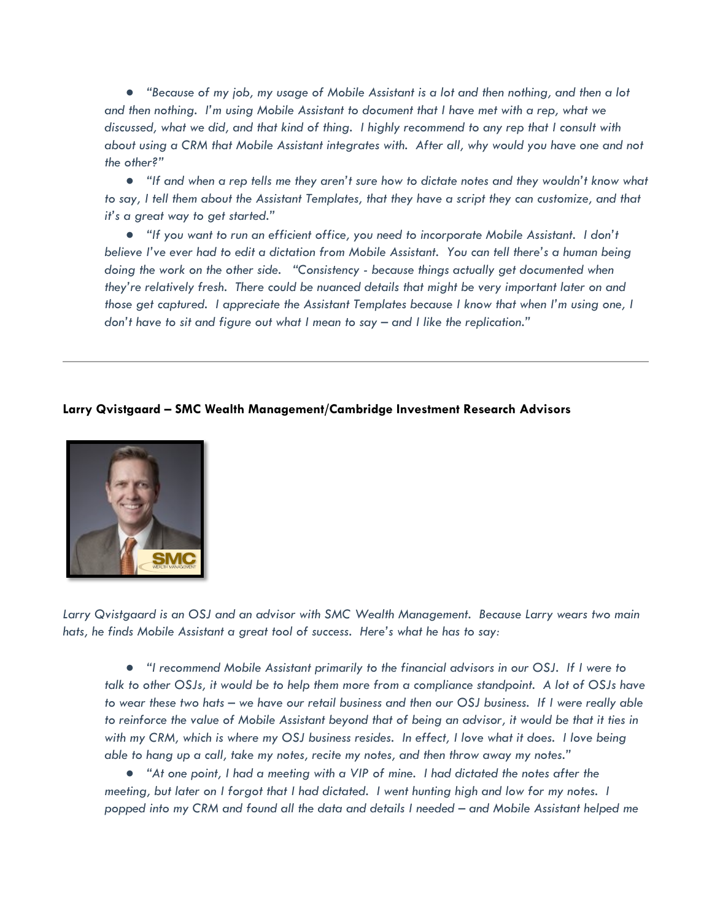● *"Because of my job, my usage of Mobile Assistant is a lot and then nothing, and then a lot and then nothing. I'm using Mobile Assistant to document that I have met with a rep, what we discussed, what we did, and that kind of thing. I highly recommend to any rep that I consult with about using a CRM that Mobile Assistant integrates with. After all, why would you have one and not the other?"* 

● *"If and when a rep tells me they aren't sure how to dictate notes and they wouldn't know what to say, I tell them about the Assistant Templates, that they have a script they can customize, and that it's a great way to get started."* 

● *"If you want to run an efficient office, you need to incorporate Mobile Assistant. I don't believe I've ever had to edit a dictation from Mobile Assistant. You can tell there's a human being doing the work on the other side. "Consistency - because things actually get documented when they're relatively fresh. There could be nuanced details that might be very important later on and those get captured. I appreciate the Assistant Templates because I know that when I'm using one, I don't have to sit and figure out what I mean to say – and I like the replication."* 

## **Larry Qvistgaard – SMC Wealth Management/Cambridge Investment Research Advisors**



*Larry Qvistgaard is an OSJ and an advisor with SMC Wealth Management. Because Larry wears two main hats, he finds Mobile Assistant a great tool of success. Here's what he has to say:* 

● *"I recommend Mobile Assistant primarily to the financial advisors in our OSJ. If I were to talk to other OSJs, it would be to help them more from a compliance standpoint. A lot of OSJs have to wear these two hats – we have our retail business and then our OSJ business. If I were really able to reinforce the value of Mobile Assistant beyond that of being an advisor, it would be that it ties in with my CRM, which is where my OSJ business resides. In effect, I love what it does. I love being able to hang up a call, take my notes, recite my notes, and then throw away my notes."* 

● *"At one point, I had a meeting with a VIP of mine. I had dictated the notes after the meeting, but later on I forgot that I had dictated. I went hunting high and low for my notes. I popped into my CRM and found all the data and details I needed – and Mobile Assistant helped me*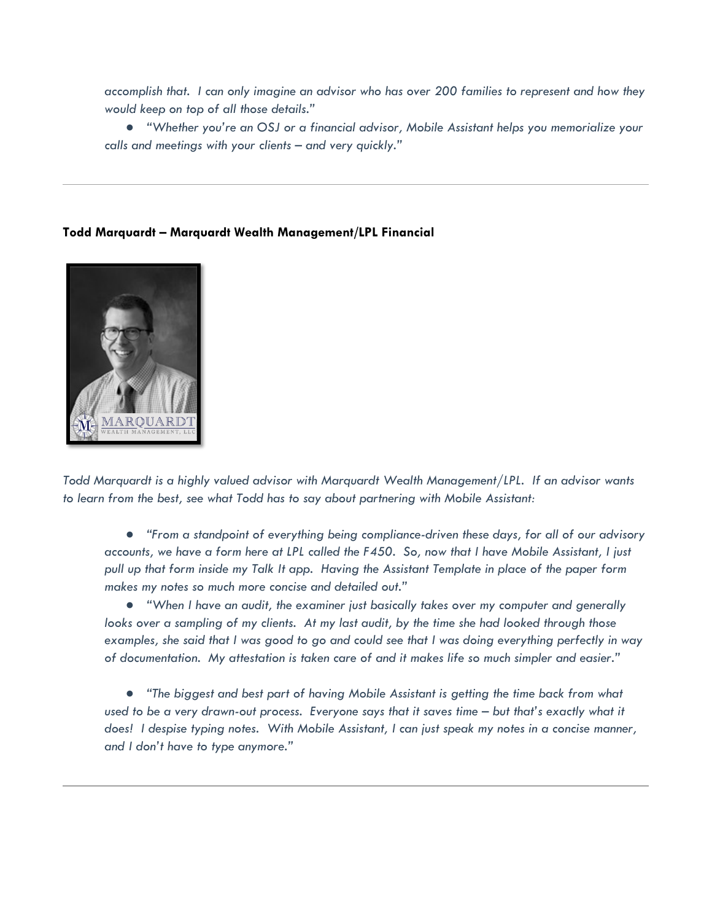*accomplish that. I can only imagine an advisor who has over 200 families to represent and how they would keep on top of all those details."* 

● *"Whether you're an OSJ or a financial advisor, Mobile Assistant helps you memorialize your calls and meetings with your clients – and very quickly."* 

## **Todd Marquardt – Marquardt Wealth Management/LPL Financial**



*Todd Marquardt is a highly valued advisor with Marquardt Wealth Management/LPL. If an advisor wants to learn from the best, see what Todd has to say about partnering with Mobile Assistant:* 

● *"From a standpoint of everything being compliance-driven these days, for all of our advisory accounts, we have a form here at LPL called the F450. So, now that I have Mobile Assistant, I just pull up that form inside my Talk It app. Having the Assistant Template in place of the paper form makes my notes so much more concise and detailed out."* 

● *"When I have an audit, the examiner just basically takes over my computer and generally looks over a sampling of my clients. At my last audit, by the time she had looked through those examples, she said that I was good to go and could see that I was doing everything perfectly in way of documentation. My attestation is taken care of and it makes life so much simpler and easier."* 

● *"The biggest and best part of having Mobile Assistant is getting the time back from what used to be a very drawn-out process. Everyone says that it saves time – but that's exactly what it does! I despise typing notes. With Mobile Assistant, I can just speak my notes in a concise manner, and I don't have to type anymore."*